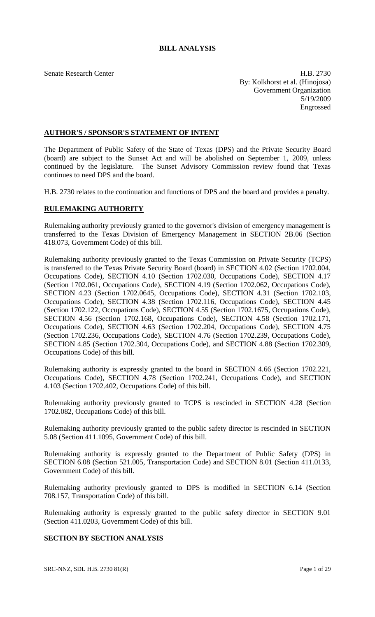# **BILL ANALYSIS**

Senate Research Center **H.B. 2730** By: Kolkhorst et al. (Hinojosa) Government Organization 5/19/2009 Engrossed

## **AUTHOR'S / SPONSOR'S STATEMENT OF INTENT**

The Department of Public Safety of the State of Texas (DPS) and the Private Security Board (board) are subject to the Sunset Act and will be abolished on September 1, 2009, unless continued by the legislature. The Sunset Advisory Commission review found that Texas continues to need DPS and the board.

H.B. 2730 relates to the continuation and functions of DPS and the board and provides a penalty.

### **RULEMAKING AUTHORITY**

Rulemaking authority previously granted to the governor's division of emergency management is transferred to the Texas Division of Emergency Management in SECTION 2B.06 (Section 418.073, Government Code) of this bill.

Rulemaking authority previously granted to the Texas Commission on Private Security (TCPS) is transferred to the Texas Private Security Board (board) in SECTION 4.02 (Section 1702.004, Occupations Code), SECTION 4.10 (Section 1702.030, Occupations Code), SECTION 4.17 (Section 1702.061, Occupations Code), SECTION 4.19 (Section 1702.062, Occupations Code), SECTION 4.23 (Section 1702.0645, Occupations Code), SECTION 4.31 (Section 1702.103, Occupations Code), SECTION 4.38 (Section 1702.116, Occupations Code), SECTION 4.45 (Section 1702.122, Occupations Code), SECTION 4.55 (Section 1702.1675, Occupations Code), SECTION 4.56 (Section 1702.168, Occupations Code), SECTION 4.58 (Section 1702.171, Occupations Code), SECTION 4.63 (Section 1702.204, Occupations Code), SECTION 4.75 (Section 1702.236, Occupations Code), SECTION 4.76 (Section 1702.239, Occupations Code), SECTION 4.85 (Section 1702.304, Occupations Code), and SECTION 4.88 (Section 1702.309, Occupations Code) of this bill.

Rulemaking authority is expressly granted to the board in SECTION 4.66 (Section 1702.221, Occupations Code), SECTION 4.78 (Section 1702.241, Occupations Code), and SECTION 4.103 (Section 1702.402, Occupations Code) of this bill.

Rulemaking authority previously granted to TCPS is rescinded in SECTION 4.28 (Section 1702.082, Occupations Code) of this bill.

Rulemaking authority previously granted to the public safety director is rescinded in SECTION 5.08 (Section 411.1095, Government Code) of this bill.

Rulemaking authority is expressly granted to the Department of Public Safety (DPS) in SECTION 6.08 (Section 521.005, Transportation Code) and SECTION 8.01 (Section 411.0133, Government Code) of this bill.

Rulemaking authority previously granted to DPS is modified in SECTION 6.14 (Section 708.157, Transportation Code) of this bill.

Rulemaking authority is expressly granted to the public safety director in SECTION 9.01 (Section 411.0203, Government Code) of this bill.

## **SECTION BY SECTION ANALYSIS**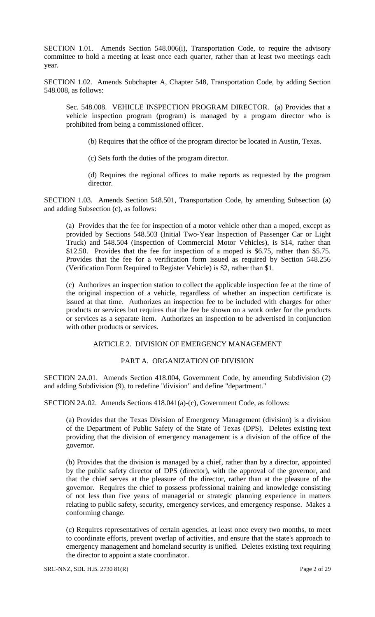SECTION 1.01. Amends Section 548.006(i), Transportation Code, to require the advisory committee to hold a meeting at least once each quarter, rather than at least two meetings each year.

SECTION 1.02. Amends Subchapter A, Chapter 548, Transportation Code, by adding Section 548.008, as follows:

Sec. 548.008. VEHICLE INSPECTION PROGRAM DIRECTOR. (a) Provides that a vehicle inspection program (program) is managed by a program director who is prohibited from being a commissioned officer.

(b) Requires that the office of the program director be located in Austin, Texas.

(c) Sets forth the duties of the program director.

(d) Requires the regional offices to make reports as requested by the program director.

SECTION 1.03. Amends Section 548.501, Transportation Code, by amending Subsection (a) and adding Subsection (c), as follows:

(a) Provides that the fee for inspection of a motor vehicle other than a moped, except as provided by Sections 548.503 (Initial Two-Year Inspection of Passenger Car or Light Truck) and 548.504 (Inspection of Commercial Motor Vehicles), is \$14, rather than \$12.50. Provides that the fee for inspection of a moped is \$6.75, rather than \$5.75. Provides that the fee for a verification form issued as required by Section 548.256 (Verification Form Required to Register Vehicle) is \$2, rather than \$1.

(c) Authorizes an inspection station to collect the applicable inspection fee at the time of the original inspection of a vehicle, regardless of whether an inspection certificate is issued at that time. Authorizes an inspection fee to be included with charges for other products or services but requires that the fee be shown on a work order for the products or services as a separate item. Authorizes an inspection to be advertised in conjunction with other products or services.

### ARTICLE 2. DIVISION OF EMERGENCY MANAGEMENT

### PART A. ORGANIZATION OF DIVISION

SECTION 2A.01. Amends Section 418.004, Government Code, by amending Subdivision (2) and adding Subdivision (9), to redefine "division" and define "department."

SECTION 2A.02. Amends Sections 418.041(a)-(c), Government Code, as follows:

(a) Provides that the Texas Division of Emergency Management (division) is a division of the Department of Public Safety of the State of Texas (DPS). Deletes existing text providing that the division of emergency management is a division of the office of the governor.

(b) Provides that the division is managed by a chief, rather than by a director, appointed by the public safety director of DPS (director), with the approval of the governor, and that the chief serves at the pleasure of the director, rather than at the pleasure of the governor. Requires the chief to possess professional training and knowledge consisting of not less than five years of managerial or strategic planning experience in matters relating to public safety, security, emergency services, and emergency response. Makes a conforming change.

(c) Requires representatives of certain agencies, at least once every two months, to meet to coordinate efforts, prevent overlap of activities, and ensure that the state's approach to emergency management and homeland security is unified. Deletes existing text requiring the director to appoint a state coordinator.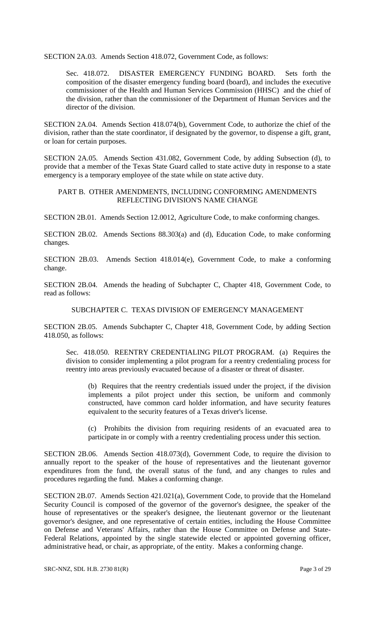SECTION 2A.03. Amends Section 418.072, Government Code, as follows:

Sec. 418.072. DISASTER EMERGENCY FUNDING BOARD. Sets forth the composition of the disaster emergency funding board (board), and includes the executive commissioner of the Health and Human Services Commission (HHSC) and the chief of the division, rather than the commissioner of the Department of Human Services and the director of the division.

SECTION 2A.04. Amends Section 418.074(b), Government Code, to authorize the chief of the division, rather than the state coordinator, if designated by the governor, to dispense a gift, grant, or loan for certain purposes.

SECTION 2A.05. Amends Section 431.082, Government Code, by adding Subsection (d), to provide that a member of the Texas State Guard called to state active duty in response to a state emergency is a temporary employee of the state while on state active duty.

## PART B. OTHER AMENDMENTS, INCLUDING CONFORMING AMENDMENTS REFLECTING DIVISION'S NAME CHANGE

SECTION 2B.01. Amends Section 12.0012, Agriculture Code, to make conforming changes.

SECTION 2B.02. Amends Sections 88.303(a) and (d), Education Code, to make conforming changes.

SECTION 2B.03. Amends Section 418.014(e), Government Code, to make a conforming change.

SECTION 2B.04. Amends the heading of Subchapter C, Chapter 418, Government Code, to read as follows:

SUBCHAPTER C. TEXAS DIVISION OF EMERGENCY MANAGEMENT

SECTION 2B.05. Amends Subchapter C, Chapter 418, Government Code, by adding Section 418.050, as follows:

Sec. 418.050. REENTRY CREDENTIALING PILOT PROGRAM. (a) Requires the division to consider implementing a pilot program for a reentry credentialing process for reentry into areas previously evacuated because of a disaster or threat of disaster.

(b) Requires that the reentry credentials issued under the project, if the division implements a pilot project under this section, be uniform and commonly constructed, have common card holder information, and have security features equivalent to the security features of a Texas driver's license.

(c) Prohibits the division from requiring residents of an evacuated area to participate in or comply with a reentry credentialing process under this section.

SECTION 2B.06. Amends Section 418.073(d), Government Code, to require the division to annually report to the speaker of the house of representatives and the lieutenant governor expenditures from the fund, the overall status of the fund, and any changes to rules and procedures regarding the fund. Makes a conforming change.

SECTION 2B.07. Amends Section 421.021(a), Government Code, to provide that the Homeland Security Council is composed of the governor of the governor's designee, the speaker of the house of representatives or the speaker's designee, the lieutenant governor or the lieutenant governor's designee, and one representative of certain entities, including the House Committee on Defense and Veterans' Affairs, rather than the House Committee on Defense and State-Federal Relations, appointed by the single statewide elected or appointed governing officer, administrative head, or chair, as appropriate, of the entity. Makes a conforming change.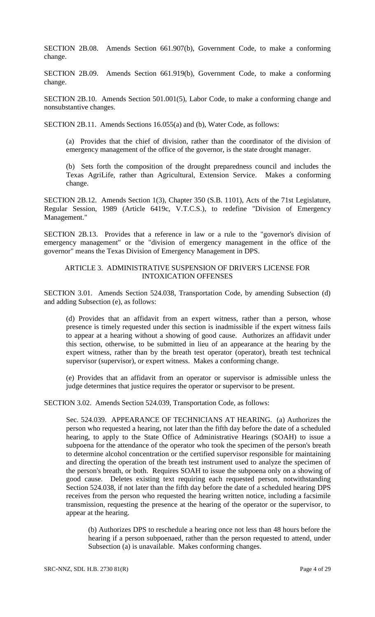SECTION 2B.08. Amends Section 661.907(b), Government Code, to make a conforming change.

SECTION 2B.09. Amends Section 661.919(b), Government Code, to make a conforming change.

SECTION 2B.10. Amends Section 501.001(5), Labor Code, to make a conforming change and nonsubstantive changes.

SECTION 2B.11. Amends Sections 16.055(a) and (b), Water Code, as follows:

(a) Provides that the chief of division, rather than the coordinator of the division of emergency management of the office of the governor, is the state drought manager.

(b) Sets forth the composition of the drought preparedness council and includes the Texas AgriLife, rather than Agricultural, Extension Service. Makes a conforming change.

SECTION 2B.12. Amends Section 1(3), Chapter 350 (S.B. 1101), Acts of the 71st Legislature, Regular Session, 1989 (Article 6419c, V.T.C.S.), to redefine "Division of Emergency Management."

SECTION 2B.13. Provides that a reference in law or a rule to the "governor's division of emergency management" or the "division of emergency management in the office of the governor" means the Texas Division of Emergency Management in DPS.

#### ARTICLE 3. ADMINISTRATIVE SUSPENSION OF DRIVER'S LICENSE FOR INTOXICATION OFFENSES

SECTION 3.01. Amends Section 524.038, Transportation Code, by amending Subsection (d) and adding Subsection (e), as follows:

(d) Provides that an affidavit from an expert witness, rather than a person, whose presence is timely requested under this section is inadmissible if the expert witness fails to appear at a hearing without a showing of good cause. Authorizes an affidavit under this section, otherwise, to be submitted in lieu of an appearance at the hearing by the expert witness, rather than by the breath test operator (operator), breath test technical supervisor (supervisor), or expert witness. Makes a conforming change.

(e) Provides that an affidavit from an operator or supervisor is admissible unless the judge determines that justice requires the operator or supervisor to be present.

SECTION 3.02. Amends Section 524.039, Transportation Code, as follows:

Sec. 524.039. APPEARANCE OF TECHNICIANS AT HEARING. (a) Authorizes the person who requested a hearing, not later than the fifth day before the date of a scheduled hearing, to apply to the State Office of Administrative Hearings (SOAH) to issue a subpoena for the attendance of the operator who took the specimen of the person's breath to determine alcohol concentration or the certified supervisor responsible for maintaining and directing the operation of the breath test instrument used to analyze the specimen of the person's breath, or both. Requires SOAH to issue the subpoena only on a showing of good cause. Deletes existing text requiring each requested person, notwithstanding Section 524.038, if not later than the fifth day before the date of a scheduled hearing DPS receives from the person who requested the hearing written notice, including a facsimile transmission, requesting the presence at the hearing of the operator or the supervisor, to appear at the hearing.

(b) Authorizes DPS to reschedule a hearing once not less than 48 hours before the hearing if a person subpoenaed, rather than the person requested to attend, under Subsection (a) is unavailable. Makes conforming changes.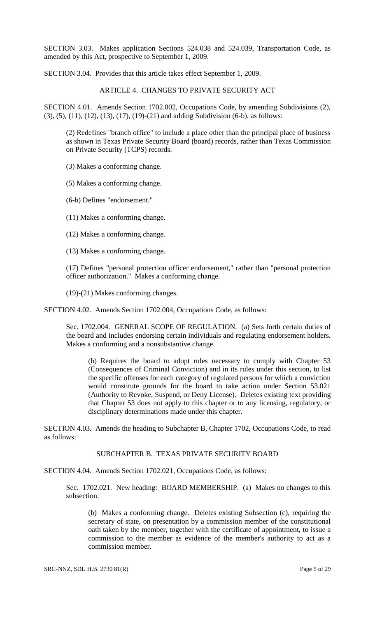SECTION 3.03. Makes application Sections 524.038 and 524.039, Transportation Code, as amended by this Act, prospective to September 1, 2009.

SECTION 3.04. Provides that this article takes effect September 1, 2009.

ARTICLE 4. CHANGES TO PRIVATE SECURITY ACT

SECTION 4.01. Amends Section 1702.002, Occupations Code, by amending Subdivisions (2), (3), (5), (11), (12), (13), (17), (19)-(21) and adding Subdivision (6-b), as follows:

(2) Redefines "branch office" to include a place other than the principal place of business as shown in Texas Private Security Board (board) records, rather than Texas Commission on Private Security (TCPS) records.

(3) Makes a conforming change.

(5) Makes a conforming change.

(6-b) Defines "endorsement."

(11) Makes a conforming change.

(12) Makes a conforming change.

(13) Makes a conforming change.

(17) Defines "personal protection officer endorsement," rather than "personal protection officer authorization." Makes a conforming change.

(19)-(21) Makes conforming changes.

SECTION 4.02. Amends Section 1702.004, Occupations Code, as follows:

Sec. 1702.004. GENERAL SCOPE OF REGULATION. (a) Sets forth certain duties of the board and includes endorsing certain individuals and regulating endorsement holders. Makes a conforming and a nonsubstantive change.

(b) Requires the board to adopt rules necessary to comply with Chapter 53 (Consequences of Criminal Conviction) and in its rules under this section, to list the specific offenses for each category of regulated persons for which a conviction would constitute grounds for the board to take action under Section 53.021 (Authority to Revoke, Suspend, or Deny License). Deletes existing text providing that Chapter 53 does not apply to this chapter or to any licensing, regulatory, or disciplinary determinations made under this chapter.

SECTION 4.03. Amends the heading to Subchapter B, Chapter 1702, Occupations Code, to read as follows:

## SUBCHAPTER B. TEXAS PRIVATE SECURITY BOARD

SECTION 4.04. Amends Section 1702.021, Occupations Code, as follows:

Sec. 1702.021. New heading: BOARD MEMBERSHIP. (a) Makes no changes to this subsection.

(b) Makes a conforming change. Deletes existing Subsection (c), requiring the secretary of state, on presentation by a commission member of the constitutional oath taken by the member, together with the certificate of appointment, to issue a commission to the member as evidence of the member's authority to act as a commission member.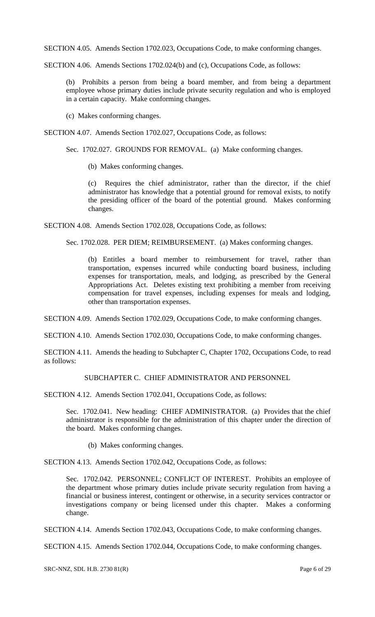SECTION 4.05. Amends Section 1702.023, Occupations Code, to make conforming changes.

SECTION 4.06. Amends Sections 1702.024(b) and (c), Occupations Code, as follows:

(b) Prohibits a person from being a board member, and from being a department employee whose primary duties include private security regulation and who is employed in a certain capacity. Make conforming changes.

(c) Makes conforming changes.

SECTION 4.07. Amends Section 1702.027, Occupations Code, as follows:

Sec. 1702.027. GROUNDS FOR REMOVAL. (a) Make conforming changes.

(b) Makes conforming changes.

(c) Requires the chief administrator, rather than the director, if the chief administrator has knowledge that a potential ground for removal exists, to notify the presiding officer of the board of the potential ground. Makes conforming changes.

SECTION 4.08. Amends Section 1702.028, Occupations Code, as follows:

Sec. 1702.028. PER DIEM; REIMBURSEMENT. (a) Makes conforming changes.

(b) Entitles a board member to reimbursement for travel, rather than transportation, expenses incurred while conducting board business, including expenses for transportation, meals, and lodging, as prescribed by the General Appropriations Act. Deletes existing text prohibiting a member from receiving compensation for travel expenses, including expenses for meals and lodging, other than transportation expenses.

SECTION 4.09. Amends Section 1702.029, Occupations Code, to make conforming changes.

SECTION 4.10. Amends Section 1702.030, Occupations Code, to make conforming changes.

SECTION 4.11. Amends the heading to Subchapter C, Chapter 1702, Occupations Code, to read as follows:

SUBCHAPTER C. CHIEF ADMINISTRATOR AND PERSONNEL

SECTION 4.12. Amends Section 1702.041, Occupations Code, as follows:

Sec. 1702.041. New heading: CHIEF ADMINISTRATOR. (a) Provides that the chief administrator is responsible for the administration of this chapter under the direction of the board. Makes conforming changes.

(b) Makes conforming changes.

SECTION 4.13. Amends Section 1702.042, Occupations Code, as follows:

Sec. 1702.042. PERSONNEL; CONFLICT OF INTEREST. Prohibits an employee of the department whose primary duties include private security regulation from having a financial or business interest, contingent or otherwise, in a security services contractor or investigations company or being licensed under this chapter. Makes a conforming change.

SECTION 4.14. Amends Section 1702.043, Occupations Code, to make conforming changes.

SECTION 4.15. Amends Section 1702.044, Occupations Code, to make conforming changes.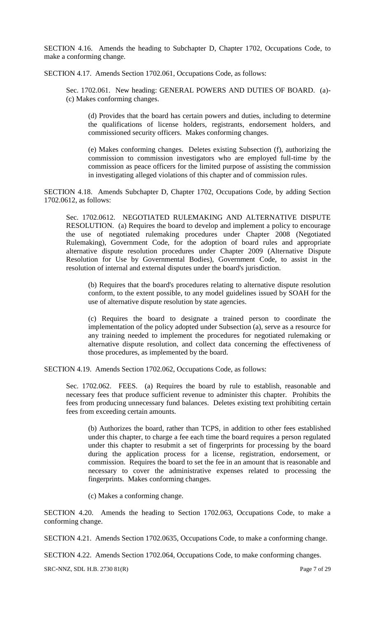SECTION 4.16. Amends the heading to Subchapter D, Chapter 1702, Occupations Code, to make a conforming change.

SECTION 4.17. Amends Section 1702.061, Occupations Code, as follows:

Sec. 1702.061. New heading: GENERAL POWERS AND DUTIES OF BOARD. (a)- (c) Makes conforming changes.

(d) Provides that the board has certain powers and duties, including to determine the qualifications of license holders, registrants, endorsement holders, and commissioned security officers. Makes conforming changes.

(e) Makes conforming changes. Deletes existing Subsection (f), authorizing the commission to commission investigators who are employed full-time by the commission as peace officers for the limited purpose of assisting the commission in investigating alleged violations of this chapter and of commission rules.

SECTION 4.18. Amends Subchapter D, Chapter 1702, Occupations Code, by adding Section 1702.0612, as follows:

Sec. 1702.0612. NEGOTIATED RULEMAKING AND ALTERNATIVE DISPUTE RESOLUTION. (a) Requires the board to develop and implement a policy to encourage the use of negotiated rulemaking procedures under Chapter 2008 (Negotiated Rulemaking), Government Code, for the adoption of board rules and appropriate alternative dispute resolution procedures under Chapter 2009 (Alternative Dispute Resolution for Use by Governmental Bodies), Government Code, to assist in the resolution of internal and external disputes under the board's jurisdiction.

(b) Requires that the board's procedures relating to alternative dispute resolution conform, to the extent possible, to any model guidelines issued by SOAH for the use of alternative dispute resolution by state agencies.

(c) Requires the board to designate a trained person to coordinate the implementation of the policy adopted under Subsection (a), serve as a resource for any training needed to implement the procedures for negotiated rulemaking or alternative dispute resolution, and collect data concerning the effectiveness of those procedures, as implemented by the board.

SECTION 4.19. Amends Section 1702.062, Occupations Code, as follows:

Sec. 1702.062. FEES. (a) Requires the board by rule to establish, reasonable and necessary fees that produce sufficient revenue to administer this chapter. Prohibits the fees from producing unnecessary fund balances. Deletes existing text prohibiting certain fees from exceeding certain amounts.

(b) Authorizes the board, rather than TCPS, in addition to other fees established under this chapter, to charge a fee each time the board requires a person regulated under this chapter to resubmit a set of fingerprints for processing by the board during the application process for a license, registration, endorsement, or commission. Requires the board to set the fee in an amount that is reasonable and necessary to cover the administrative expenses related to processing the fingerprints. Makes conforming changes.

(c) Makes a conforming change.

SECTION 4.20. Amends the heading to Section 1702.063, Occupations Code, to make a conforming change.

SECTION 4.21. Amends Section 1702.0635, Occupations Code, to make a conforming change.

SECTION 4.22. Amends Section 1702.064, Occupations Code, to make conforming changes.

SRC-NNZ, SDL H.B. 2730 81(R) Page 7 of 29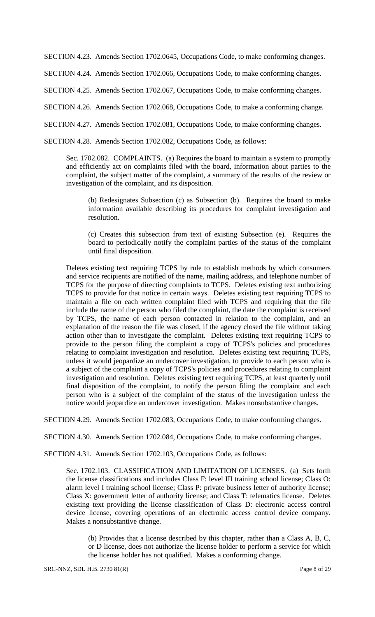SECTION 4.23. Amends Section 1702.0645, Occupations Code, to make conforming changes.

SECTION 4.24. Amends Section 1702.066, Occupations Code, to make conforming changes.

SECTION 4.25. Amends Section 1702.067, Occupations Code, to make conforming changes.

SECTION 4.26. Amends Section 1702.068, Occupations Code, to make a conforming change.

SECTION 4.27. Amends Section 1702.081, Occupations Code, to make conforming changes.

SECTION 4.28. Amends Section 1702.082, Occupations Code, as follows:

Sec. 1702.082. COMPLAINTS. (a) Requires the board to maintain a system to promptly and efficiently act on complaints filed with the board, information about parties to the complaint, the subject matter of the complaint, a summary of the results of the review or investigation of the complaint, and its disposition.

(b) Redesignates Subsection (c) as Subsection (b). Requires the board to make information available describing its procedures for complaint investigation and resolution.

(c) Creates this subsection from text of existing Subsection (e). Requires the board to periodically notify the complaint parties of the status of the complaint until final disposition.

Deletes existing text requiring TCPS by rule to establish methods by which consumers and service recipients are notified of the name, mailing address, and telephone number of TCPS for the purpose of directing complaints to TCPS. Deletes existing text authorizing TCPS to provide for that notice in certain ways. Deletes existing text requiring TCPS to maintain a file on each written complaint filed with TCPS and requiring that the file include the name of the person who filed the complaint, the date the complaint is received by TCPS, the name of each person contacted in relation to the complaint, and an explanation of the reason the file was closed, if the agency closed the file without taking action other than to investigate the complaint. Deletes existing text requiring TCPS to provide to the person filing the complaint a copy of TCPS's policies and procedures relating to complaint investigation and resolution. Deletes existing text requiring TCPS, unless it would jeopardize an undercover investigation, to provide to each person who is a subject of the complaint a copy of TCPS's policies and procedures relating to complaint investigation and resolution. Deletes existing text requiring TCPS, at least quarterly until final disposition of the complaint, to notify the person filing the complaint and each person who is a subject of the complaint of the status of the investigation unless the notice would jeopardize an undercover investigation. Makes nonsubstantive changes.

SECTION 4.29. Amends Section 1702.083, Occupations Code, to make conforming changes.

SECTION 4.30. Amends Section 1702.084, Occupations Code, to make conforming changes.

SECTION 4.31. Amends Section 1702.103, Occupations Code, as follows:

Sec. 1702.103. CLASSIFICATION AND LIMITATION OF LICENSES. (a) Sets forth the license classifications and includes Class F: level III training school license; Class O: alarm level I training school license; Class P: private business letter of authority license; Class X: government letter of authority license; and Class T: telematics license. Deletes existing text providing the license classification of Class D: electronic access control device license, covering operations of an electronic access control device company. Makes a nonsubstantive change.

(b) Provides that a license described by this chapter, rather than a Class A, B, C, or D license, does not authorize the license holder to perform a service for which the license holder has not qualified. Makes a conforming change.

SRC-NNZ, SDL H.B. 2730 81(R) Page 8 of 29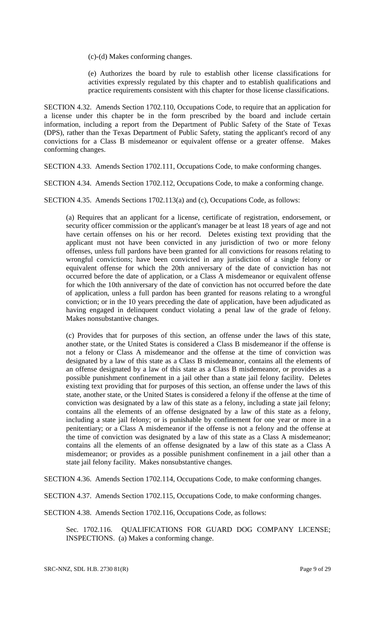(c)-(d) Makes conforming changes.

(e) Authorizes the board by rule to establish other license classifications for activities expressly regulated by this chapter and to establish qualifications and practice requirements consistent with this chapter for those license classifications.

SECTION 4.32. Amends Section 1702.110, Occupations Code, to require that an application for a license under this chapter be in the form prescribed by the board and include certain information, including a report from the Department of Public Safety of the State of Texas (DPS), rather than the Texas Department of Public Safety, stating the applicant's record of any convictions for a Class B misdemeanor or equivalent offense or a greater offense. Makes conforming changes.

SECTION 4.33. Amends Section 1702.111, Occupations Code, to make conforming changes.

SECTION 4.34. Amends Section 1702.112, Occupations Code, to make a conforming change.

SECTION 4.35. Amends Sections 1702.113(a) and (c), Occupations Code, as follows:

(a) Requires that an applicant for a license, certificate of registration, endorsement, or security officer commission or the applicant's manager be at least 18 years of age and not have certain offenses on his or her record. Deletes existing text providing that the applicant must not have been convicted in any jurisdiction of two or more felony offenses, unless full pardons have been granted for all convictions for reasons relating to wrongful convictions; have been convicted in any jurisdiction of a single felony or equivalent offense for which the 20th anniversary of the date of conviction has not occurred before the date of application, or a Class A misdemeanor or equivalent offense for which the 10th anniversary of the date of conviction has not occurred before the date of application, unless a full pardon has been granted for reasons relating to a wrongful conviction; or in the 10 years preceding the date of application, have been adjudicated as having engaged in delinquent conduct violating a penal law of the grade of felony. Makes nonsubstantive changes.

(c) Provides that for purposes of this section, an offense under the laws of this state, another state, or the United States is considered a Class B misdemeanor if the offense is not a felony or Class A misdemeanor and the offense at the time of conviction was designated by a law of this state as a Class B misdemeanor, contains all the elements of an offense designated by a law of this state as a Class B misdemeanor, or provides as a possible punishment confinement in a jail other than a state jail felony facility. Deletes existing text providing that for purposes of this section, an offense under the laws of this state, another state, or the United States is considered a felony if the offense at the time of conviction was designated by a law of this state as a felony, including a state jail felony; contains all the elements of an offense designated by a law of this state as a felony, including a state jail felony; or is punishable by confinement for one year or more in a penitentiary; or a Class A misdemeanor if the offense is not a felony and the offense at the time of conviction was designated by a law of this state as a Class A misdemeanor; contains all the elements of an offense designated by a law of this state as a Class A misdemeanor; or provides as a possible punishment confinement in a jail other than a state jail felony facility. Makes nonsubstantive changes.

SECTION 4.36. Amends Section 1702.114, Occupations Code, to make conforming changes.

SECTION 4.37. Amends Section 1702.115, Occupations Code, to make conforming changes.

SECTION 4.38. Amends Section 1702.116, Occupations Code, as follows:

Sec. 1702.116. QUALIFICATIONS FOR GUARD DOG COMPANY LICENSE; INSPECTIONS. (a) Makes a conforming change.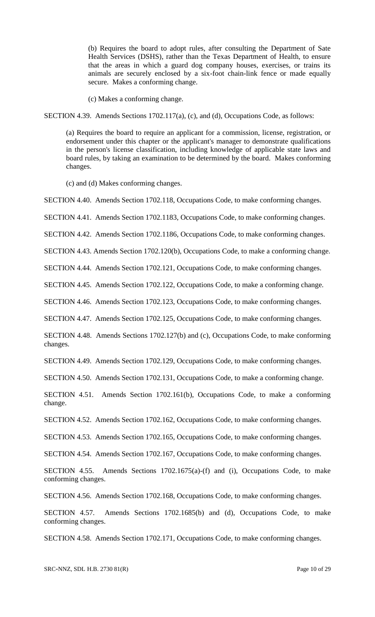(b) Requires the board to adopt rules, after consulting the Department of Sate Health Services (DSHS), rather than the Texas Department of Health, to ensure that the areas in which a guard dog company houses, exercises, or trains its animals are securely enclosed by a six-foot chain-link fence or made equally secure. Makes a conforming change.

(c) Makes a conforming change.

SECTION 4.39. Amends Sections 1702.117(a), (c), and (d), Occupations Code, as follows:

(a) Requires the board to require an applicant for a commission, license, registration, or endorsement under this chapter or the applicant's manager to demonstrate qualifications in the person's license classification, including knowledge of applicable state laws and board rules, by taking an examination to be determined by the board. Makes conforming changes.

(c) and (d) Makes conforming changes.

SECTION 4.40. Amends Section 1702.118, Occupations Code, to make conforming changes.

SECTION 4.41. Amends Section 1702.1183, Occupations Code, to make conforming changes.

SECTION 4.42. Amends Section 1702.1186, Occupations Code, to make conforming changes.

SECTION 4.43. Amends Section 1702.120(b), Occupations Code, to make a conforming change.

SECTION 4.44. Amends Section 1702.121, Occupations Code, to make conforming changes.

SECTION 4.45. Amends Section 1702.122, Occupations Code, to make a conforming change.

SECTION 4.46. Amends Section 1702.123, Occupations Code, to make conforming changes.

SECTION 4.47. Amends Section 1702.125, Occupations Code, to make conforming changes.

SECTION 4.48. Amends Sections 1702.127(b) and (c), Occupations Code, to make conforming changes.

SECTION 4.49. Amends Section 1702.129, Occupations Code, to make conforming changes.

SECTION 4.50. Amends Section 1702.131, Occupations Code, to make a conforming change.

SECTION 4.51. Amends Section 1702.161(b), Occupations Code, to make a conforming change.

SECTION 4.52. Amends Section 1702.162, Occupations Code, to make conforming changes.

SECTION 4.53. Amends Section 1702.165, Occupations Code, to make conforming changes.

SECTION 4.54. Amends Section 1702.167, Occupations Code, to make conforming changes.

SECTION 4.55. Amends Sections 1702.1675(a)-(f) and (i), Occupations Code, to make conforming changes.

SECTION 4.56. Amends Section 1702.168, Occupations Code, to make conforming changes.

SECTION 4.57. Amends Sections 1702.1685(b) and (d), Occupations Code, to make conforming changes.

SECTION 4.58. Amends Section 1702.171, Occupations Code, to make conforming changes.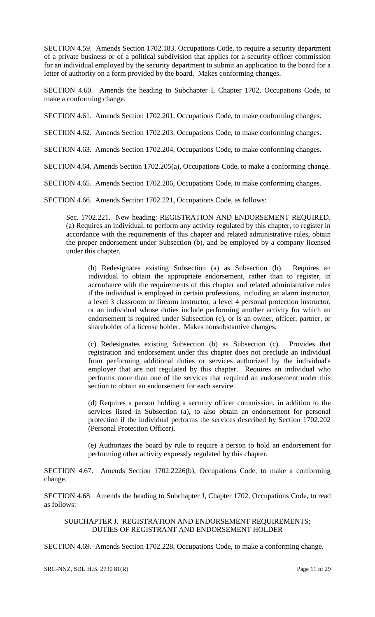SECTION 4.59. Amends Section 1702.183, Occupations Code, to require a security department of a private business or of a political subdivision that applies for a security officer commission for an individual employed by the security department to submit an application to the board for a letter of authority on a form provided by the board. Makes conforming changes.

SECTION 4.60. Amends the heading to Subchapter I, Chapter 1702, Occupations Code, to make a conforming change.

SECTION 4.61. Amends Section 1702.201, Occupations Code, to make conforming changes.

SECTION 4.62. Amends Section 1702.203, Occupations Code, to make conforming changes.

SECTION 4.63. Amends Section 1702.204, Occupations Code, to make conforming changes.

SECTION 4.64. Amends Section 1702.205(a), Occupations Code, to make a conforming change.

SECTION 4.65. Amends Section 1702.206, Occupations Code, to make conforming changes.

SECTION 4.66. Amends Section 1702.221, Occupations Code, as follows:

Sec. 1702.221. New heading: REGISTRATION AND ENDORSEMENT REQUIRED. (a) Requires an individual, to perform any activity regulated by this chapter, to register in accordance with the requirements of this chapter and related administrative rules, obtain the proper endorsement under Subsection (b), and be employed by a company licensed under this chapter.

(b) Redesignates existing Subsection (a) as Subsection (b). Requires an individual to obtain the appropriate endorsement, rather than to register, in accordance with the requirements of this chapter and related administrative rules if the individual is employed in certain professions, including an alarm instructor, a level 3 classroom or firearm instructor, a level 4 personal protection instructor, or an individual whose duties include performing another activity for which an endorsement is required under Subsection (e), or is an owner, officer, partner, or shareholder of a license holder. Makes nonsubstantive changes.

(c) Redesignates existing Subsection (b) as Subsection (c). Provides that registration and endorsement under this chapter does not preclude an individual from performing additional duties or services authorized by the individual's employer that are not regulated by this chapter. Requires an individual who performs more than one of the services that required an endorsement under this section to obtain an endorsement for each service.

(d) Requires a person holding a security officer commission, in addition to the services listed in Subsection (a), to also obtain an endorsement for personal protection if the individual performs the services described by Section 1702.202 (Personal Protection Officer).

(e) Authorizes the board by rule to require a person to hold an endorsement for performing other activity expressly regulated by this chapter.

SECTION 4.67. Amends Section 1702.2226(b), Occupations Code, to make a conforming change.

SECTION 4.68. Amends the heading to Subchapter J, Chapter 1702, Occupations Code, to read as follows:

SUBCHAPTER J. REGISTRATION AND ENDORSEMENT REQUIREMENTS; DUTIES OF REGISTRANT AND ENDORSEMENT HOLDER

SECTION 4.69. Amends Section 1702.228, Occupations Code, to make a conforming change.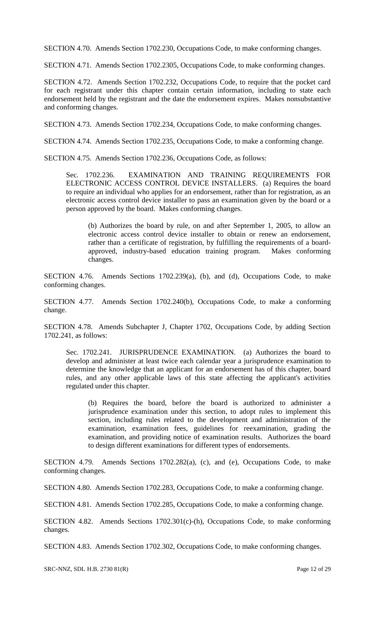SECTION 4.70. Amends Section 1702.230, Occupations Code, to make conforming changes.

SECTION 4.71. Amends Section 1702.2305, Occupations Code, to make conforming changes.

SECTION 4.72. Amends Section 1702.232, Occupations Code, to require that the pocket card for each registrant under this chapter contain certain information, including to state each endorsement held by the registrant and the date the endorsement expires. Makes nonsubstantive and conforming changes.

SECTION 4.73. Amends Section 1702.234, Occupations Code, to make conforming changes.

SECTION 4.74. Amends Section 1702.235, Occupations Code, to make a conforming change.

SECTION 4.75. Amends Section 1702.236, Occupations Code, as follows:

Sec. 1702.236. EXAMINATION AND TRAINING REQUIREMENTS FOR ELECTRONIC ACCESS CONTROL DEVICE INSTALLERS. (a) Requires the board to require an individual who applies for an endorsement, rather than for registration, as an electronic access control device installer to pass an examination given by the board or a person approved by the board. Makes conforming changes.

(b) Authorizes the board by rule, on and after September 1, 2005, to allow an electronic access control device installer to obtain or renew an endorsement, rather than a certificate of registration, by fulfilling the requirements of a boardapproved, industry-based education training program. Makes conforming changes.

SECTION 4.76. Amends Sections 1702.239(a), (b), and (d), Occupations Code, to make conforming changes.

SECTION 4.77. Amends Section 1702.240(b), Occupations Code, to make a conforming change.

SECTION 4.78. Amends Subchapter J, Chapter 1702, Occupations Code, by adding Section 1702.241, as follows:

Sec. 1702.241. JURISPRUDENCE EXAMINATION. (a) Authorizes the board to develop and administer at least twice each calendar year a jurisprudence examination to determine the knowledge that an applicant for an endorsement has of this chapter, board rules, and any other applicable laws of this state affecting the applicant's activities regulated under this chapter.

(b) Requires the board, before the board is authorized to administer a jurisprudence examination under this section, to adopt rules to implement this section, including rules related to the development and administration of the examination, examination fees, guidelines for reexamination, grading the examination, and providing notice of examination results. Authorizes the board to design different examinations for different types of endorsements.

SECTION 4.79. Amends Sections 1702.282(a), (c), and (e), Occupations Code, to make conforming changes.

SECTION 4.80. Amends Section 1702.283, Occupations Code, to make a conforming change.

SECTION 4.81. Amends Section 1702.285, Occupations Code, to make a conforming change.

SECTION 4.82. Amends Sections 1702.301(c)-(h), Occupations Code, to make conforming changes.

SECTION 4.83. Amends Section 1702.302, Occupations Code, to make conforming changes.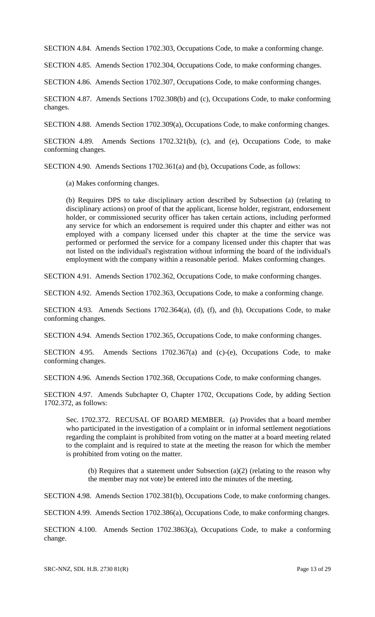SECTION 4.84. Amends Section 1702.303, Occupations Code, to make a conforming change.

SECTION 4.85. Amends Section 1702.304, Occupations Code, to make conforming changes.

SECTION 4.86. Amends Section 1702.307, Occupations Code, to make conforming changes.

SECTION 4.87. Amends Sections 1702.308(b) and (c), Occupations Code, to make conforming changes.

SECTION 4.88. Amends Section 1702.309(a), Occupations Code, to make conforming changes.

SECTION 4.89. Amends Sections 1702.321(b), (c), and (e), Occupations Code, to make conforming changes.

SECTION 4.90. Amends Sections 1702.361(a) and (b), Occupations Code, as follows:

(a) Makes conforming changes.

(b) Requires DPS to take disciplinary action described by Subsection (a) (relating to disciplinary actions) on proof of that the applicant, license holder, registrant, endorsement holder, or commissioned security officer has taken certain actions, including performed any service for which an endorsement is required under this chapter and either was not employed with a company licensed under this chapter at the time the service was performed or performed the service for a company licensed under this chapter that was not listed on the individual's registration without informing the board of the individual's employment with the company within a reasonable period. Makes conforming changes.

SECTION 4.91. Amends Section 1702.362, Occupations Code, to make conforming changes.

SECTION 4.92. Amends Section 1702.363, Occupations Code, to make a conforming change.

SECTION 4.93. Amends Sections 1702.364(a), (d), (f), and (h), Occupations Code, to make conforming changes.

SECTION 4.94. Amends Section 1702.365, Occupations Code, to make conforming changes.

SECTION 4.95. Amends Sections 1702.367(a) and (c)-(e), Occupations Code, to make conforming changes.

SECTION 4.96. Amends Section 1702.368, Occupations Code, to make conforming changes.

SECTION 4.97. Amends Subchapter O, Chapter 1702, Occupations Code, by adding Section 1702.372, as follows:

Sec. 1702.372. RECUSAL OF BOARD MEMBER. (a) Provides that a board member who participated in the investigation of a complaint or in informal settlement negotiations regarding the complaint is prohibited from voting on the matter at a board meeting related to the complaint and is required to state at the meeting the reason for which the member is prohibited from voting on the matter.

(b) Requires that a statement under Subsection (a)(2) (relating to the reason why the member may not vote) be entered into the minutes of the meeting.

SECTION 4.98. Amends Section 1702.381(b), Occupations Code, to make conforming changes.

SECTION 4.99. Amends Section 1702.386(a), Occupations Code, to make conforming changes.

SECTION 4.100. Amends Section 1702.3863(a), Occupations Code, to make a conforming change.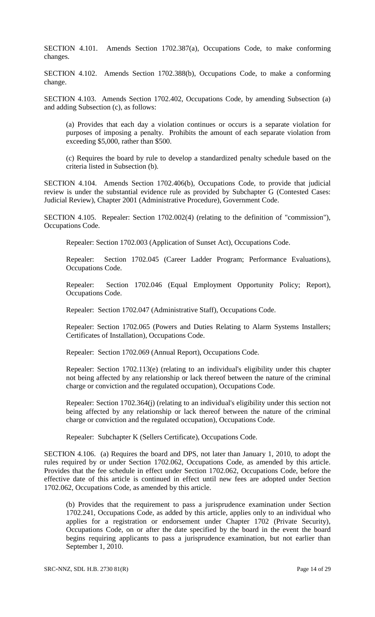SECTION 4.101. Amends Section 1702.387(a), Occupations Code, to make conforming changes.

SECTION 4.102. Amends Section 1702.388(b), Occupations Code, to make a conforming change.

SECTION 4.103. Amends Section 1702.402, Occupations Code, by amending Subsection (a) and adding Subsection (c), as follows:

(a) Provides that each day a violation continues or occurs is a separate violation for purposes of imposing a penalty. Prohibits the amount of each separate violation from exceeding \$5,000, rather than \$500.

(c) Requires the board by rule to develop a standardized penalty schedule based on the criteria listed in Subsection (b).

SECTION 4.104. Amends Section 1702.406(b), Occupations Code, to provide that judicial review is under the substantial evidence rule as provided by Subchapter G (Contested Cases: Judicial Review), Chapter 2001 (Administrative Procedure), Government Code.

SECTION 4.105. Repealer: Section 1702.002(4) (relating to the definition of "commission"), Occupations Code.

Repealer: Section 1702.003 (Application of Sunset Act), Occupations Code.

Repealer: Section 1702.045 (Career Ladder Program; Performance Evaluations), Occupations Code.

Repealer: Section 1702.046 (Equal Employment Opportunity Policy; Report), Occupations Code.

Repealer: Section 1702.047 (Administrative Staff), Occupations Code.

Repealer: Section 1702.065 (Powers and Duties Relating to Alarm Systems Installers; Certificates of Installation), Occupations Code.

Repealer: Section 1702.069 (Annual Report), Occupations Code.

Repealer: Section 1702.113(e) (relating to an individual's eligibility under this chapter not being affected by any relationship or lack thereof between the nature of the criminal charge or conviction and the regulated occupation), Occupations Code.

Repealer: Section 1702.364(j) (relating to an individual's eligibility under this section not being affected by any relationship or lack thereof between the nature of the criminal charge or conviction and the regulated occupation), Occupations Code.

Repealer: Subchapter K (Sellers Certificate), Occupations Code.

SECTION 4.106. (a) Requires the board and DPS, not later than January 1, 2010, to adopt the rules required by or under Section 1702.062, Occupations Code, as amended by this article. Provides that the fee schedule in effect under Section 1702.062, Occupations Code, before the effective date of this article is continued in effect until new fees are adopted under Section 1702.062, Occupations Code, as amended by this article.

(b) Provides that the requirement to pass a jurisprudence examination under Section 1702.241, Occupations Code, as added by this article, applies only to an individual who applies for a registration or endorsement under Chapter 1702 (Private Security), Occupations Code, on or after the date specified by the board in the event the board begins requiring applicants to pass a jurisprudence examination, but not earlier than September 1, 2010.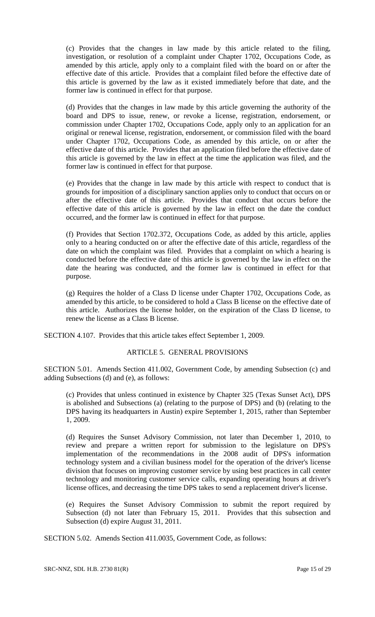(c) Provides that the changes in law made by this article related to the filing, investigation, or resolution of a complaint under Chapter 1702, Occupations Code, as amended by this article, apply only to a complaint filed with the board on or after the effective date of this article. Provides that a complaint filed before the effective date of this article is governed by the law as it existed immediately before that date, and the former law is continued in effect for that purpose.

(d) Provides that the changes in law made by this article governing the authority of the board and DPS to issue, renew, or revoke a license, registration, endorsement, or commission under Chapter 1702, Occupations Code, apply only to an application for an original or renewal license, registration, endorsement, or commission filed with the board under Chapter 1702, Occupations Code, as amended by this article, on or after the effective date of this article. Provides that an application filed before the effective date of this article is governed by the law in effect at the time the application was filed, and the former law is continued in effect for that purpose.

(e) Provides that the change in law made by this article with respect to conduct that is grounds for imposition of a disciplinary sanction applies only to conduct that occurs on or after the effective date of this article. Provides that conduct that occurs before the effective date of this article is governed by the law in effect on the date the conduct occurred, and the former law is continued in effect for that purpose.

(f) Provides that Section 1702.372, Occupations Code, as added by this article, applies only to a hearing conducted on or after the effective date of this article, regardless of the date on which the complaint was filed. Provides that a complaint on which a hearing is conducted before the effective date of this article is governed by the law in effect on the date the hearing was conducted, and the former law is continued in effect for that purpose.

(g) Requires the holder of a Class D license under Chapter 1702, Occupations Code, as amended by this article, to be considered to hold a Class B license on the effective date of this article. Authorizes the license holder, on the expiration of the Class D license, to renew the license as a Class B license.

SECTION 4.107. Provides that this article takes effect September 1, 2009.

#### ARTICLE 5. GENERAL PROVISIONS

SECTION 5.01. Amends Section 411.002, Government Code, by amending Subsection (c) and adding Subsections (d) and (e), as follows:

(c) Provides that unless continued in existence by Chapter 325 (Texas Sunset Act), DPS is abolished and Subsections (a) (relating to the purpose of DPS) and (b) (relating to the DPS having its headquarters in Austin) expire September 1, 2015, rather than September 1, 2009.

(d) Requires the Sunset Advisory Commission, not later than December 1, 2010, to review and prepare a written report for submission to the legislature on DPS's implementation of the recommendations in the 2008 audit of DPS's information technology system and a civilian business model for the operation of the driver's license division that focuses on improving customer service by using best practices in call center technology and monitoring customer service calls, expanding operating hours at driver's license offices, and decreasing the time DPS takes to send a replacement driver's license.

(e) Requires the Sunset Advisory Commission to submit the report required by Subsection (d) not later than February 15, 2011. Provides that this subsection and Subsection (d) expire August 31, 2011.

SECTION 5.02. Amends Section 411.0035, Government Code, as follows: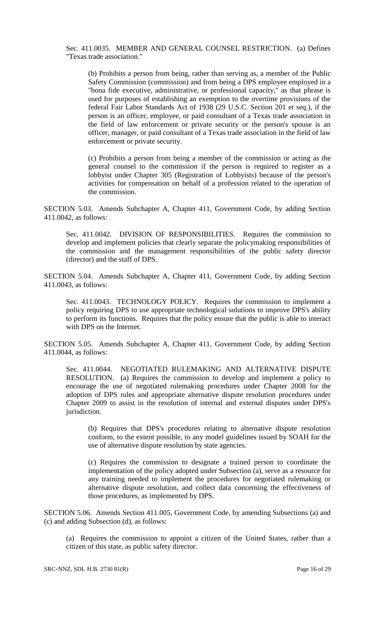Sec. 411.0035. MEMBER AND GENERAL COUNSEL RESTRICTION. (a) Defines "Texas trade association."

(b) Prohibits a person from being, rather than serving as, a member of the Public Safety Commission (commission) and from being a DPS employee employed in a "bona fide executive, administrative, or professional capacity," as that phrase is used for purposes of establishing an exemption to the overtime provisions of the federal Fair Labor Standards Act of 1938 (29 U.S.C. Section 201 et seq.), if the person is an officer, employee, or paid consultant of a Texas trade association in the field of law enforcement or private security or the person's spouse is an officer, manager, or paid consultant of a Texas trade association in the field of law enforcement or private security.

(c) Prohibits a person from being a member of the commission or acting as the general counsel to the commission if the person is required to register as a lobbyist under Chapter 305 (Registration of Lobbyists) because of the person's activities for compensation on behalf of a profession related to the operation of the commission.

SECTION 5.03. Amends Subchapter A, Chapter 411, Government Code, by adding Section 411.0042, as follows:

Sec. 411.0042. DIVISION OF RESPONSIBILITIES. Requires the commission to develop and implement policies that clearly separate the policymaking responsibilities of the commission and the management responsibilities of the public safety director (director) and the staff of DPS.

SECTION 5.04. Amends Subchapter A, Chapter 411, Government Code, by adding Section 411.0043, as follows:

Sec. 411.0043. TECHNOLOGY POLICY. Requires the commission to implement a policy requiring DPS to use appropriate technological solutions to improve DPS's ability to perform its functions. Requires that the policy ensure that the public is able to interact with DPS on the Internet.

SECTION 5.05. Amends Subchapter A, Chapter 411, Government Code, by adding Section 411.0044, as follows:

Sec. 411.0044. NEGOTIATED RULEMAKING AND ALTERNATIVE DISPUTE RESOLUTION. (a) Requires the commission to develop and implement a policy to encourage the use of negotiated rulemaking procedures under Chapter 2008 for the adoption of DPS rules and appropriate alternative dispute resolution procedures under Chapter 2009 to assist in the resolution of internal and external disputes under DPS's jurisdiction.

(b) Requires that DPS's procedures relating to alternative dispute resolution conform, to the extent possible, to any model guidelines issued by SOAH for the use of alternative dispute resolution by state agencies.

(c) Requires the commission to designate a trained person to coordinate the implementation of the policy adopted under Subsection (a), serve as a resource for any training needed to implement the procedures for negotiated rulemaking or alternative dispute resolution, and collect data concerning the effectiveness of those procedures, as implemented by DPS.

SECTION 5.06. Amends Section 411.005, Government Code, by amending Subsections (a) and (c) and adding Subsection (d), as follows:

(a) Requires the commission to appoint a citizen of the United States, rather than a citizen of this state, as public safety director.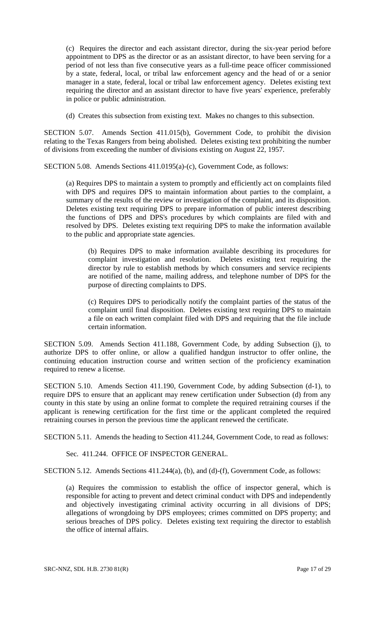(c) Requires the director and each assistant director, during the six-year period before appointment to DPS as the director or as an assistant director, to have been serving for a period of not less than five consecutive years as a full-time peace officer commissioned by a state, federal, local, or tribal law enforcement agency and the head of or a senior manager in a state, federal, local or tribal law enforcement agency. Deletes existing text requiring the director and an assistant director to have five years' experience, preferably in police or public administration.

(d) Creates this subsection from existing text. Makes no changes to this subsection.

SECTION 5.07. Amends Section 411.015(b), Government Code, to prohibit the division relating to the Texas Rangers from being abolished. Deletes existing text prohibiting the number of divisions from exceeding the number of divisions existing on August 22, 1957.

SECTION 5.08. Amends Sections 411.0195(a)-(c), Government Code, as follows:

(a) Requires DPS to maintain a system to promptly and efficiently act on complaints filed with DPS and requires DPS to maintain information about parties to the complaint, a summary of the results of the review or investigation of the complaint, and its disposition. Deletes existing text requiring DPS to prepare information of public interest describing the functions of DPS and DPS's procedures by which complaints are filed with and resolved by DPS. Deletes existing text requiring DPS to make the information available to the public and appropriate state agencies.

(b) Requires DPS to make information available describing its procedures for complaint investigation and resolution. Deletes existing text requiring the director by rule to establish methods by which consumers and service recipients are notified of the name, mailing address, and telephone number of DPS for the purpose of directing complaints to DPS.

(c) Requires DPS to periodically notify the complaint parties of the status of the complaint until final disposition. Deletes existing text requiring DPS to maintain a file on each written complaint filed with DPS and requiring that the file include certain information.

SECTION 5.09. Amends Section 411.188, Government Code, by adding Subsection (j), to authorize DPS to offer online, or allow a qualified handgun instructor to offer online, the continuing education instruction course and written section of the proficiency examination required to renew a license.

SECTION 5.10. Amends Section 411.190, Government Code, by adding Subsection (d-1), to require DPS to ensure that an applicant may renew certification under Subsection (d) from any county in this state by using an online format to complete the required retraining courses if the applicant is renewing certification for the first time or the applicant completed the required retraining courses in person the previous time the applicant renewed the certificate.

SECTION 5.11. Amends the heading to Section 411.244, Government Code, to read as follows:

Sec. 411.244. OFFICE OF INSPECTOR GENERAL.

SECTION 5.12. Amends Sections 411.244(a), (b), and (d)-(f), Government Code, as follows:

(a) Requires the commission to establish the office of inspector general, which is responsible for acting to prevent and detect criminal conduct with DPS and independently and objectively investigating criminal activity occurring in all divisions of DPS; allegations of wrongdoing by DPS employees; crimes committed on DPS property; and serious breaches of DPS policy. Deletes existing text requiring the director to establish the office of internal affairs.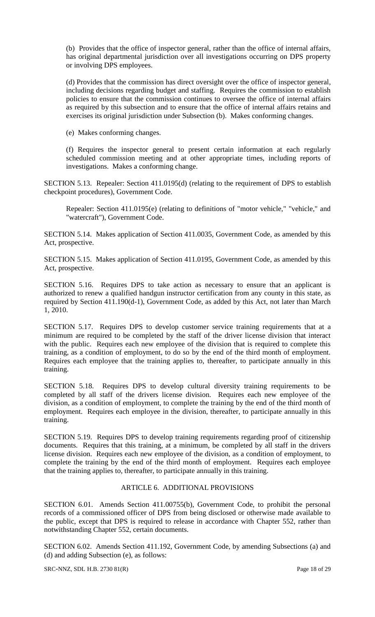(b) Provides that the office of inspector general, rather than the office of internal affairs, has original departmental jurisdiction over all investigations occurring on DPS property or involving DPS employees.

(d) Provides that the commission has direct oversight over the office of inspector general, including decisions regarding budget and staffing. Requires the commission to establish policies to ensure that the commission continues to oversee the office of internal affairs as required by this subsection and to ensure that the office of internal affairs retains and exercises its original jurisdiction under Subsection (b). Makes conforming changes.

(e) Makes conforming changes.

(f) Requires the inspector general to present certain information at each regularly scheduled commission meeting and at other appropriate times, including reports of investigations. Makes a conforming change.

SECTION 5.13. Repealer: Section 411.0195(d) (relating to the requirement of DPS to establish checkpoint procedures), Government Code.

Repealer: Section 411.0195(e) (relating to definitions of "motor vehicle," "vehicle," and "watercraft"), Government Code.

SECTION 5.14. Makes application of Section 411.0035, Government Code, as amended by this Act, prospective.

SECTION 5.15. Makes application of Section 411.0195, Government Code, as amended by this Act, prospective.

SECTION 5.16. Requires DPS to take action as necessary to ensure that an applicant is authorized to renew a qualified handgun instructor certification from any county in this state, as required by Section 411.190(d-1), Government Code, as added by this Act, not later than March 1, 2010.

SECTION 5.17. Requires DPS to develop customer service training requirements that at a minimum are required to be completed by the staff of the driver license division that interact with the public. Requires each new employee of the division that is required to complete this training, as a condition of employment, to do so by the end of the third month of employment. Requires each employee that the training applies to, thereafter, to participate annually in this training.

SECTION 5.18. Requires DPS to develop cultural diversity training requirements to be completed by all staff of the drivers license division. Requires each new employee of the division, as a condition of employment, to complete the training by the end of the third month of employment. Requires each employee in the division, thereafter, to participate annually in this training.

SECTION 5.19. Requires DPS to develop training requirements regarding proof of citizenship documents. Requires that this training, at a minimum, be completed by all staff in the drivers license division. Requires each new employee of the division, as a condition of employment, to complete the training by the end of the third month of employment. Requires each employee that the training applies to, thereafter, to participate annually in this training.

## ARTICLE 6. ADDITIONAL PROVISIONS

SECTION 6.01. Amends Section 411.00755(b), Government Code, to prohibit the personal records of a commissioned officer of DPS from being disclosed or otherwise made available to the public, except that DPS is required to release in accordance with Chapter 552, rather than notwithstanding Chapter 552, certain documents.

SECTION 6.02. Amends Section 411.192, Government Code, by amending Subsections (a) and (d) and adding Subsection (e), as follows:

SRC-NNZ, SDL H.B. 2730 81(R) Page 18 of 29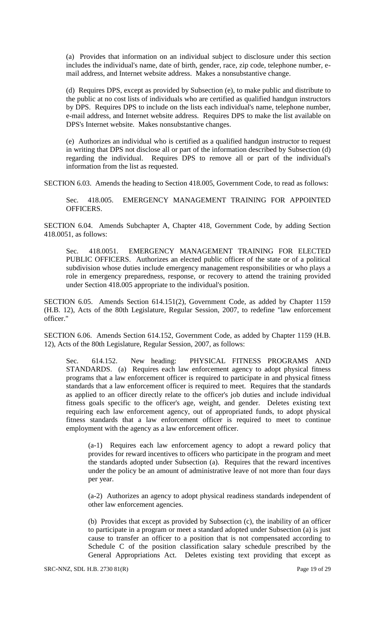(a) Provides that information on an individual subject to disclosure under this section includes the individual's name, date of birth, gender, race, zip code, telephone number, email address, and Internet website address. Makes a nonsubstantive change.

(d) Requires DPS, except as provided by Subsection (e), to make public and distribute to the public at no cost lists of individuals who are certified as qualified handgun instructors by DPS. Requires DPS to include on the lists each individual's name, telephone number, e-mail address, and Internet website address. Requires DPS to make the list available on DPS's Internet website. Makes nonsubstantive changes.

(e) Authorizes an individual who is certified as a qualified handgun instructor to request in writing that DPS not disclose all or part of the information described by Subsection (d) regarding the individual. Requires DPS to remove all or part of the individual's information from the list as requested.

SECTION 6.03. Amends the heading to Section 418.005, Government Code, to read as follows:

Sec. 418.005. EMERGENCY MANAGEMENT TRAINING FOR APPOINTED OFFICERS.

SECTION 6.04. Amends Subchapter A, Chapter 418, Government Code, by adding Section 418.0051, as follows:

Sec. 418.0051. EMERGENCY MANAGEMENT TRAINING FOR ELECTED PUBLIC OFFICERS. Authorizes an elected public officer of the state or of a political subdivision whose duties include emergency management responsibilities or who plays a role in emergency preparedness, response, or recovery to attend the training provided under Section 418.005 appropriate to the individual's position.

SECTION 6.05. Amends Section 614.151(2), Government Code, as added by Chapter 1159 (H.B. 12), Acts of the 80th Legislature, Regular Session, 2007, to redefine "law enforcement officer."

SECTION 6.06. Amends Section 614.152, Government Code, as added by Chapter 1159 (H.B. 12), Acts of the 80th Legislature, Regular Session, 2007, as follows:

Sec. 614.152. New heading: PHYSICAL FITNESS PROGRAMS AND STANDARDS. (a) Requires each law enforcement agency to adopt physical fitness programs that a law enforcement officer is required to participate in and physical fitness standards that a law enforcement officer is required to meet. Requires that the standards as applied to an officer directly relate to the officer's job duties and include individual fitness goals specific to the officer's age, weight, and gender. Deletes existing text requiring each law enforcement agency, out of appropriated funds, to adopt physical fitness standards that a law enforcement officer is required to meet to continue employment with the agency as a law enforcement officer.

(a-1) Requires each law enforcement agency to adopt a reward policy that provides for reward incentives to officers who participate in the program and meet the standards adopted under Subsection (a). Requires that the reward incentives under the policy be an amount of administrative leave of not more than four days per year.

(a-2) Authorizes an agency to adopt physical readiness standards independent of other law enforcement agencies.

(b) Provides that except as provided by Subsection (c), the inability of an officer to participate in a program or meet a standard adopted under Subsection (a) is just cause to transfer an officer to a position that is not compensated according to Schedule C of the position classification salary schedule prescribed by the General Appropriations Act. Deletes existing text providing that except as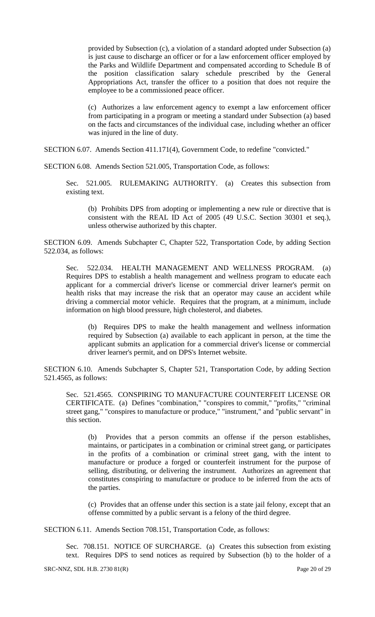provided by Subsection (c), a violation of a standard adopted under Subsection (a) is just cause to discharge an officer or for a law enforcement officer employed by the Parks and Wildlife Department and compensated according to Schedule B of the position classification salary schedule prescribed by the General Appropriations Act, transfer the officer to a position that does not require the employee to be a commissioned peace officer.

(c) Authorizes a law enforcement agency to exempt a law enforcement officer from participating in a program or meeting a standard under Subsection (a) based on the facts and circumstances of the individual case, including whether an officer was injured in the line of duty.

SECTION 6.07. Amends Section 411.171(4), Government Code, to redefine "convicted."

SECTION 6.08. Amends Section 521.005, Transportation Code, as follows:

Sec. 521.005. RULEMAKING AUTHORITY. (a) Creates this subsection from existing text.

(b) Prohibits DPS from adopting or implementing a new rule or directive that is consistent with the REAL ID Act of 2005 (49 U.S.C. Section 30301 et seq.), unless otherwise authorized by this chapter.

SECTION 6.09. Amends Subchapter C, Chapter 522, Transportation Code, by adding Section 522.034, as follows:

Sec. 522.034. HEALTH MANAGEMENT AND WELLNESS PROGRAM. (a) Requires DPS to establish a health management and wellness program to educate each applicant for a commercial driver's license or commercial driver learner's permit on health risks that may increase the risk that an operator may cause an accident while driving a commercial motor vehicle. Requires that the program, at a minimum, include information on high blood pressure, high cholesterol, and diabetes.

(b) Requires DPS to make the health management and wellness information required by Subsection (a) available to each applicant in person, at the time the applicant submits an application for a commercial driver's license or commercial driver learner's permit, and on DPS's Internet website.

SECTION 6.10. Amends Subchapter S, Chapter 521, Transportation Code, by adding Section 521.4565, as follows:

Sec. 521.4565. CONSPIRING TO MANUFACTURE COUNTERFEIT LICENSE OR CERTIFICATE. (a) Defines "combination," "conspires to commit," "profits," "criminal street gang," "conspires to manufacture or produce," "instrument," and "public servant" in this section.

(b) Provides that a person commits an offense if the person establishes, maintains, or participates in a combination or criminal street gang, or participates in the profits of a combination or criminal street gang, with the intent to manufacture or produce a forged or counterfeit instrument for the purpose of selling, distributing, or delivering the instrument. Authorizes an agreement that constitutes conspiring to manufacture or produce to be inferred from the acts of the parties.

(c) Provides that an offense under this section is a state jail felony, except that an offense committed by a public servant is a felony of the third degree.

SECTION 6.11. Amends Section 708.151, Transportation Code, as follows:

Sec. 708.151. NOTICE OF SURCHARGE. (a) Creates this subsection from existing text. Requires DPS to send notices as required by Subsection (b) to the holder of a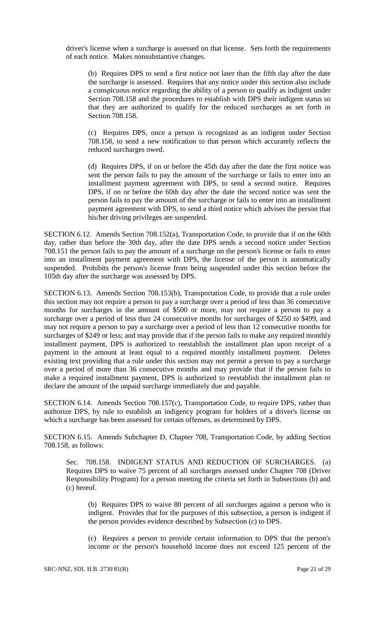driver's license when a surcharge is assessed on that license. Sets forth the requirements of each notice. Makes nonsubstantive changes.

(b) Requires DPS to send a first notice not later than the fifth day after the date the surcharge is assessed. Requires that any notice under this section also include a conspicuous notice regarding the ability of a person to qualify as indigent under Section 708.158 and the procedures to establish with DPS their indigent status so that they are authorized to qualify for the reduced surcharges as set forth in Section 708.158.

(c) Requires DPS, once a person is recognized as an indigent under Section 708.158, to send a new notification to that person which accurately reflects the reduced surcharges owed.

(d) Requires DPS, if on or before the 45th day after the date the first notice was sent the person fails to pay the amount of the surcharge or fails to enter into an installment payment agreement with DPS, to send a second notice. Requires DPS, if on or before the 60th day after the date the second notice was sent the person fails to pay the amount of the surcharge or fails to enter into an installment payment agreement with DPS, to send a third notice which advises the person that his/her driving privileges are suspended.

SECTION 6.12. Amends Section 708.152(a), Transportation Code, to provide that if on the 60th day, rather than before the 30th day, after the date DPS sends a second notice under Section 708.151 the person fails to pay the amount of a surcharge on the person's license or fails to enter into an installment payment agreement with DPS, the license of the person is automatically suspended. Prohibits the person's license from being suspended under this section before the 105th day after the surcharge was assessed by DPS.

SECTION 6.13. Amends Section 708.153(b), Transportation Code, to provide that a rule under this section may not require a person to pay a surcharge over a period of less than 36 consecutive months for surcharges in the amount of \$500 or more, may not require a person to pay a surcharge over a period of less than 24 consecutive months for surcharges of \$250 to \$499, and may not require a person to pay a surcharge over a period of less than 12 consecutive months for surcharges of \$249 or less; and may provide that if the person fails to make any required monthly installment payment, DPS is authorized to reestablish the installment plan upon receipt of a payment in the amount at least equal to a required monthly installment payment. Deletes existing text providing that a rule under this section may not permit a person to pay a surcharge over a period of more than 36 consecutive months and may provide that if the person fails to make a required installment payment, DPS is authorized to reestablish the installment plan or declare the amount of the unpaid surcharge immediately due and payable.

SECTION 6.14. Amends Section 708.157(c), Transportation Code, to require DPS, rather than authorize DPS, by rule to establish an indigency program for holders of a driver's license on which a surcharge has been assessed for certain offenses, as determined by DPS.

SECTION 6.15. Amends Subchapter D, Chapter 708, Transportation Code, by adding Section 708.158, as follows:

Sec. 708.158. INDIGENT STATUS AND REDUCTION OF SURCHARGES. (a) Requires DPS to waive 75 percent of all surcharges assessed under Chapter 708 (Driver Responsibility Program) for a person meeting the criteria set forth in Subsections (b) and (c) hereof.

(b) Requires DPS to waive 80 percent of all surcharges against a person who is indigent. Provides that for the purposes of this subsection, a person is indigent if the person provides evidence described by Subsection (c) to DPS.

(c) Requires a person to provide certain information to DPS that the person's income or the person's household income does not exceed 125 percent of the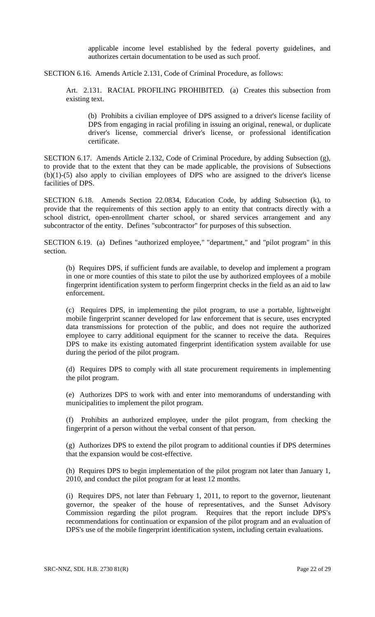applicable income level established by the federal poverty guidelines, and authorizes certain documentation to be used as such proof.

SECTION 6.16. Amends Article 2.131, Code of Criminal Procedure, as follows:

Art. 2.131. RACIAL PROFILING PROHIBITED. (a) Creates this subsection from existing text.

(b) Prohibits a civilian employee of DPS assigned to a driver's license facility of DPS from engaging in racial profiling in issuing an original, renewal, or duplicate driver's license, commercial driver's license, or professional identification certificate.

SECTION 6.17. Amends Article 2.132, Code of Criminal Procedure, by adding Subsection (g), to provide that to the extent that they can be made applicable, the provisions of Subsections (b)(1)-(5) also apply to civilian employees of DPS who are assigned to the driver's license facilities of DPS.

SECTION 6.18. Amends Section 22.0834, Education Code, by adding Subsection (k), to provide that the requirements of this section apply to an entity that contracts directly with a school district, open-enrollment charter school, or shared services arrangement and any subcontractor of the entity. Defines "subcontractor" for purposes of this subsection.

SECTION 6.19. (a) Defines "authorized employee," "department," and "pilot program" in this section.

(b) Requires DPS, if sufficient funds are available, to develop and implement a program in one or more counties of this state to pilot the use by authorized employees of a mobile fingerprint identification system to perform fingerprint checks in the field as an aid to law enforcement.

(c) Requires DPS, in implementing the pilot program, to use a portable, lightweight mobile fingerprint scanner developed for law enforcement that is secure, uses encrypted data transmissions for protection of the public, and does not require the authorized employee to carry additional equipment for the scanner to receive the data. Requires DPS to make its existing automated fingerprint identification system available for use during the period of the pilot program.

(d) Requires DPS to comply with all state procurement requirements in implementing the pilot program.

(e) Authorizes DPS to work with and enter into memorandums of understanding with municipalities to implement the pilot program.

(f) Prohibits an authorized employee, under the pilot program, from checking the fingerprint of a person without the verbal consent of that person.

(g) Authorizes DPS to extend the pilot program to additional counties if DPS determines that the expansion would be cost-effective.

(h) Requires DPS to begin implementation of the pilot program not later than January 1, 2010, and conduct the pilot program for at least 12 months.

(i) Requires DPS, not later than February 1, 2011, to report to the governor, lieutenant governor, the speaker of the house of representatives, and the Sunset Advisory Commission regarding the pilot program. Requires that the report include DPS's recommendations for continuation or expansion of the pilot program and an evaluation of DPS's use of the mobile fingerprint identification system, including certain evaluations.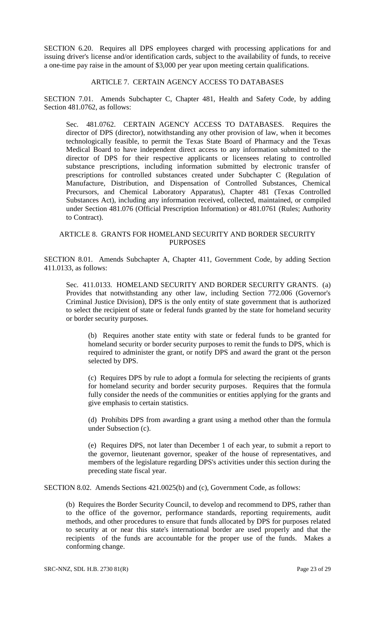SECTION 6.20. Requires all DPS employees charged with processing applications for and issuing driver's license and/or identification cards, subject to the availability of funds, to receive a one-time pay raise in the amount of \$3,000 per year upon meeting certain qualifications.

### ARTICLE 7. CERTAIN AGENCY ACCESS TO DATABASES

SECTION 7.01. Amends Subchapter C, Chapter 481, Health and Safety Code, by adding Section 481.0762, as follows:

Sec. 481.0762. CERTAIN AGENCY ACCESS TO DATABASES. Requires the director of DPS (director), notwithstanding any other provision of law, when it becomes technologically feasible, to permit the Texas State Board of Pharmacy and the Texas Medical Board to have independent direct access to any information submitted to the director of DPS for their respective applicants or licensees relating to controlled substance prescriptions, including information submitted by electronic transfer of prescriptions for controlled substances created under Subchapter C (Regulation of Manufacture, Distribution, and Dispensation of Controlled Substances, Chemical Precursors, and Chemical Laboratory Apparatus), Chapter 481 (Texas Controlled Substances Act), including any information received, collected, maintained, or compiled under Section 481.076 (Official Prescription Information) or 481.0761 (Rules; Authority to Contract).

## ARTICLE 8. GRANTS FOR HOMELAND SECURITY AND BORDER SECURITY PURPOSES

SECTION 8.01. Amends Subchapter A, Chapter 411, Government Code, by adding Section 411.0133, as follows:

Sec. 411.0133. HOMELAND SECURITY AND BORDER SECURITY GRANTS. (a) Provides that notwithstanding any other law, including Section 772.006 (Governor's Criminal Justice Division), DPS is the only entity of state government that is authorized to select the recipient of state or federal funds granted by the state for homeland security or border security purposes.

(b) Requires another state entity with state or federal funds to be granted for homeland security or border security purposes to remit the funds to DPS, which is required to administer the grant, or notify DPS and award the grant ot the person selected by DPS.

(c) Requires DPS by rule to adopt a formula for selecting the recipients of grants for homeland security and border security purposes. Requires that the formula fully consider the needs of the communities or entities applying for the grants and give emphasis to certain statistics.

(d) Prohibits DPS from awarding a grant using a method other than the formula under Subsection (c).

(e) Requires DPS, not later than December 1 of each year, to submit a report to the governor, lieutenant governor, speaker of the house of representatives, and members of the legislature regarding DPS's activities under this section during the preceding state fiscal year.

SECTION 8.02. Amends Sections 421.0025(b) and (c), Government Code, as follows:

(b) Requires the Border Security Council, to develop and recommend to DPS, rather than to the office of the governor, performance standards, reporting requirements, audit methods, and other procedures to ensure that funds allocated by DPS for purposes related to security at or near this state's international border are used properly and that the recipients of the funds are accountable for the proper use of the funds. Makes a conforming change.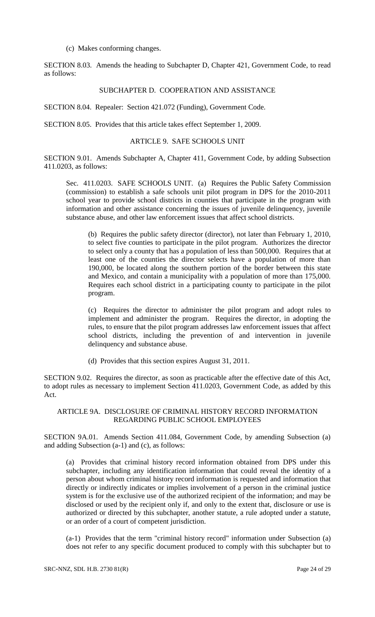(c) Makes conforming changes.

SECTION 8.03. Amends the heading to Subchapter D, Chapter 421, Government Code, to read as follows:

## SUBCHAPTER D. COOPERATION AND ASSISTANCE

SECTION 8.04. Repealer: Section 421.072 (Funding), Government Code.

SECTION 8.05. Provides that this article takes effect September 1, 2009.

#### ARTICLE 9. SAFE SCHOOLS UNIT

SECTION 9.01. Amends Subchapter A, Chapter 411, Government Code, by adding Subsection 411.0203, as follows:

Sec. 411.0203. SAFE SCHOOLS UNIT. (a) Requires the Public Safety Commission (commission) to establish a safe schools unit pilot program in DPS for the 2010-2011 school year to provide school districts in counties that participate in the program with information and other assistance concerning the issues of juvenile delinquency, juvenile substance abuse, and other law enforcement issues that affect school districts.

(b) Requires the public safety director (director), not later than February 1, 2010, to select five counties to participate in the pilot program. Authorizes the director to select only a county that has a population of less than 500,000. Requires that at least one of the counties the director selects have a population of more than 190,000, be located along the southern portion of the border between this state and Mexico, and contain a municipality with a population of more than 175,000. Requires each school district in a participating county to participate in the pilot program.

(c) Requires the director to administer the pilot program and adopt rules to implement and administer the program. Requires the director, in adopting the rules, to ensure that the pilot program addresses law enforcement issues that affect school districts, including the prevention of and intervention in juvenile delinquency and substance abuse.

(d) Provides that this section expires August 31, 2011.

SECTION 9.02. Requires the director, as soon as practicable after the effective date of this Act, to adopt rules as necessary to implement Section 411.0203, Government Code, as added by this Act.

### ARTICLE 9A. DISCLOSURE OF CRIMINAL HISTORY RECORD INFORMATION REGARDING PUBLIC SCHOOL EMPLOYEES

SECTION 9A.01. Amends Section 411.084, Government Code, by amending Subsection (a) and adding Subsection (a-1) and (c), as follows:

(a) Provides that criminal history record information obtained from DPS under this subchapter, including any identification information that could reveal the identity of a person about whom criminal history record information is requested and information that directly or indirectly indicates or implies involvement of a person in the criminal justice system is for the exclusive use of the authorized recipient of the information; and may be disclosed or used by the recipient only if, and only to the extent that, disclosure or use is authorized or directed by this subchapter, another statute, a rule adopted under a statute, or an order of a court of competent jurisdiction.

(a-1) Provides that the term "criminal history record" information under Subsection (a) does not refer to any specific document produced to comply with this subchapter but to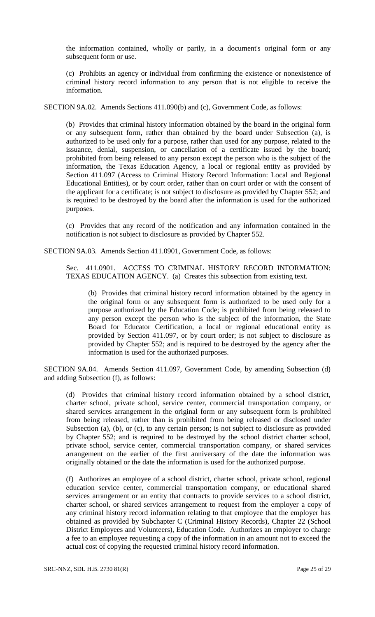the information contained, wholly or partly, in a document's original form or any subsequent form or use.

(c) Prohibits an agency or individual from confirming the existence or nonexistence of criminal history record information to any person that is not eligible to receive the information.

SECTION 9A.02. Amends Sections 411.090(b) and (c), Government Code, as follows:

(b) Provides that criminal history information obtained by the board in the original form or any subsequent form, rather than obtained by the board under Subsection (a), is authorized to be used only for a purpose, rather than used for any purpose, related to the issuance, denial, suspension, or cancellation of a certificate issued by the board; prohibited from being released to any person except the person who is the subject of the information, the Texas Education Agency, a local or regional entity as provided by Section 411.097 (Access to Criminal History Record Information: Local and Regional Educational Entities), or by court order, rather than on court order or with the consent of the applicant for a certificate; is not subject to disclosure as provided by Chapter 552; and is required to be destroyed by the board after the information is used for the authorized purposes.

(c) Provides that any record of the notification and any information contained in the notification is not subject to disclosure as provided by Chapter 552.

SECTION 9A.03. Amends Section 411.0901, Government Code, as follows:

Sec. 411.0901. ACCESS TO CRIMINAL HISTORY RECORD INFORMATION: TEXAS EDUCATION AGENCY. (a) Creates this subsection from existing text.

(b) Provides that criminal history record information obtained by the agency in the original form or any subsequent form is authorized to be used only for a purpose authorized by the Education Code; is prohibited from being released to any person except the person who is the subject of the information, the State Board for Educator Certification, a local or regional educational entity as provided by Section 411.097, or by court order; is not subject to disclosure as provided by Chapter 552; and is required to be destroyed by the agency after the information is used for the authorized purposes.

SECTION 9A.04. Amends Section 411.097, Government Code, by amending Subsection (d) and adding Subsection (f), as follows:

(d) Provides that criminal history record information obtained by a school district, charter school, private school, service center, commercial transportation company, or shared services arrangement in the original form or any subsequent form is prohibited from being released, rather than is prohibited from being released or disclosed under Subsection (a), (b), or (c), to any certain person; is not subject to disclosure as provided by Chapter 552; and is required to be destroyed by the school district charter school, private school, service center, commercial transportation company, or shared services arrangement on the earlier of the first anniversary of the date the information was originally obtained or the date the information is used for the authorized purpose.

(f) Authorizes an employee of a school district, charter school, private school, regional education service center, commercial transportation company, or educational shared services arrangement or an entity that contracts to provide services to a school district, charter school, or shared services arrangement to request from the employer a copy of any criminal history record information relating to that employee that the employer has obtained as provided by Subchapter C (Criminal History Records), Chapter 22 (School District Employees and Volunteers), Education Code. Authorizes an employer to charge a fee to an employee requesting a copy of the information in an amount not to exceed the actual cost of copying the requested criminal history record information.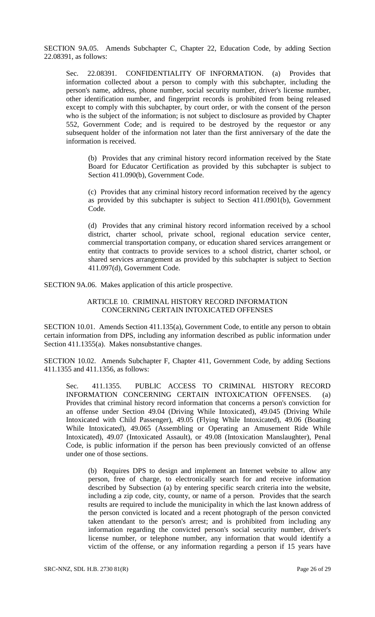SECTION 9A.05. Amends Subchapter C, Chapter 22, Education Code, by adding Section 22.08391, as follows:

Sec. 22.08391. CONFIDENTIALITY OF INFORMATION. (a) Provides that information collected about a person to comply with this subchapter, including the person's name, address, phone number, social security number, driver's license number, other identification number, and fingerprint records is prohibited from being released except to comply with this subchapter, by court order, or with the consent of the person who is the subject of the information; is not subject to disclosure as provided by Chapter 552, Government Code; and is required to be destroyed by the requestor or any subsequent holder of the information not later than the first anniversary of the date the information is received.

(b) Provides that any criminal history record information received by the State Board for Educator Certification as provided by this subchapter is subject to Section 411.090(b), Government Code.

(c) Provides that any criminal history record information received by the agency as provided by this subchapter is subject to Section 411.0901(b), Government Code.

(d) Provides that any criminal history record information received by a school district, charter school, private school, regional education service center, commercial transportation company, or education shared services arrangement or entity that contracts to provide services to a school district, charter school, or shared services arrangement as provided by this subchapter is subject to Section 411.097(d), Government Code.

SECTION 9A.06. Makes application of this article prospective.

### ARTICLE 10. CRIMINAL HISTORY RECORD INFORMATION CONCERNING CERTAIN INTOXICATED OFFENSES

SECTION 10.01. Amends Section 411.135(a), Government Code, to entitle any person to obtain certain information from DPS, including any information described as public information under Section 411.1355(a). Makes nonsubstantive changes.

SECTION 10.02. Amends Subchapter F, Chapter 411, Government Code, by adding Sections 411.1355 and 411.1356, as follows:

Sec. 411.1355. PUBLIC ACCESS TO CRIMINAL HISTORY RECORD INFORMATION CONCERNING CERTAIN INTOXICATION OFFENSES. (a) Provides that criminal history record information that concerns a person's conviction for an offense under Section 49.04 (Driving While Intoxicated), 49.045 (Driving While Intoxicated with Child Passenger), 49.05 (Flying While Intoxicated), 49.06 (Boating While Intoxicated), 49.065 (Assembling or Operating an Amusement Ride While Intoxicated), 49.07 (Intoxicated Assault), or 49.08 (Intoxication Manslaughter), Penal Code, is public information if the person has been previously convicted of an offense under one of those sections.

(b) Requires DPS to design and implement an Internet website to allow any person, free of charge, to electronically search for and receive information described by Subsection (a) by entering specific search criteria into the website, including a zip code, city, county, or name of a person. Provides that the search results are required to include the municipality in which the last known address of the person convicted is located and a recent photograph of the person convicted taken attendant to the person's arrest; and is prohibited from including any information regarding the convicted person's social security number, driver's license number, or telephone number, any information that would identify a victim of the offense, or any information regarding a person if 15 years have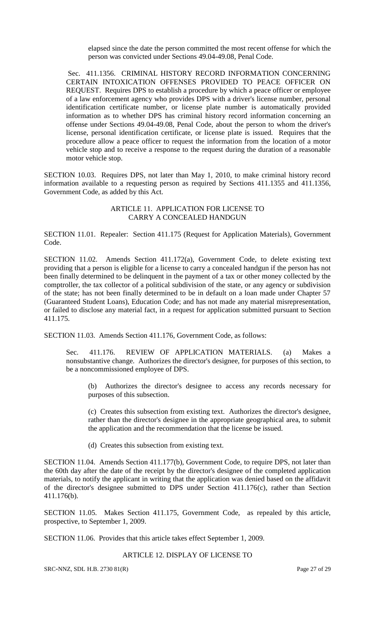elapsed since the date the person committed the most recent offense for which the person was convicted under Sections 49.04-49.08, Penal Code.

Sec. 411.1356. CRIMINAL HISTORY RECORD INFORMATION CONCERNING CERTAIN INTOXICATION OFFENSES PROVIDED TO PEACE OFFICER ON REQUEST. Requires DPS to establish a procedure by which a peace officer or employee of a law enforcement agency who provides DPS with a driver's license number, personal identification certificate number, or license plate number is automatically provided information as to whether DPS has criminal history record information concerning an offense under Sections 49.04-49.08, Penal Code, about the person to whom the driver's license, personal identification certificate, or license plate is issued. Requires that the procedure allow a peace officer to request the information from the location of a motor vehicle stop and to receive a response to the request during the duration of a reasonable motor vehicle stop.

SECTION 10.03. Requires DPS, not later than May 1, 2010, to make criminal history record information available to a requesting person as required by Sections 411.1355 and 411.1356, Government Code, as added by this Act.

#### ARTICLE 11. APPLICATION FOR LICENSE TO CARRY A CONCEALED HANDGUN

SECTION 11.01. Repealer: Section 411.175 (Request for Application Materials), Government Code.

SECTION 11.02. Amends Section 411.172(a), Government Code, to delete existing text providing that a person is eligible for a license to carry a concealed handgun if the person has not been finally determined to be delinquent in the payment of a tax or other money collected by the comptroller, the tax collector of a political subdivision of the state, or any agency or subdivision of the state; has not been finally determined to be in default on a loan made under Chapter 57 (Guaranteed Student Loans), Education Code; and has not made any material misrepresentation, or failed to disclose any material fact, in a request for application submitted pursuant to Section 411.175.

SECTION 11.03. Amends Section 411.176, Government Code, as follows:

Sec. 411.176. REVIEW OF APPLICATION MATERIALS. (a) Makes a nonsubstantive change. Authorizes the director's designee, for purposes of this section, to be a noncommissioned employee of DPS.

(b) Authorizes the director's designee to access any records necessary for purposes of this subsection.

(c) Creates this subsection from existing text. Authorizes the director's designee, rather than the director's designee in the appropriate geographical area, to submit the application and the recommendation that the license be issued.

(d) Creates this subsection from existing text.

SECTION 11.04. Amends Section 411.177(b), Government Code, to require DPS, not later than the 60th day after the date of the receipt by the director's designee of the completed application materials, to notify the applicant in writing that the application was denied based on the affidavit of the director's designee submitted to DPS under Section 411.176(c), rather than Section 411.176(b).

SECTION 11.05. Makes Section 411.175, Government Code, as repealed by this article, prospective, to September 1, 2009.

SECTION 11.06. Provides that this article takes effect September 1, 2009.

#### ARTICLE 12. DISPLAY OF LICENSE TO

SRC-NNZ, SDL H.B. 2730 81(R) Page 27 of 29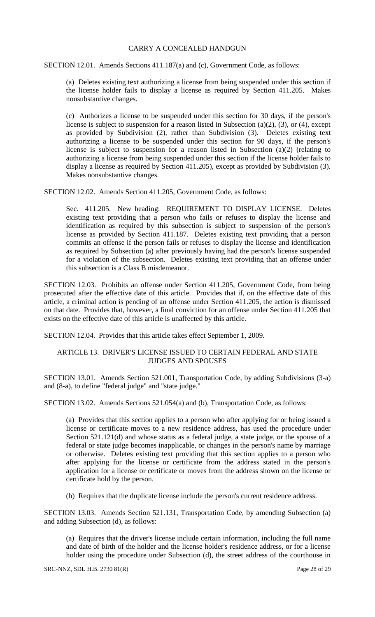#### CARRY A CONCEALED HANDGUN

SECTION 12.01. Amends Sections 411.187(a) and (c), Government Code, as follows:

(a) Deletes existing text authorizing a license from being suspended under this section if the license holder fails to display a license as required by Section 411.205. Makes nonsubstantive changes.

(c) Authorizes a license to be suspended under this section for 30 days, if the person's license is subject to suspension for a reason listed in Subsection (a)(2), (3), or (4), except as provided by Subdivision (2), rather than Subdivision (3). Deletes existing text authorizing a license to be suspended under this section for 90 days, if the person's license is subject to suspension for a reason listed in Subsection (a)(2) (relating to authorizing a license from being suspended under this section if the license holder fails to display a license as required by Section 411.205), except as provided by Subdivision (3). Makes nonsubstantive changes.

SECTION 12.02. Amends Section 411.205, Government Code, as follows:

Sec. 411.205. New heading: REQUIREMENT TO DISPLAY LICENSE. Deletes existing text providing that a person who fails or refuses to display the license and identification as required by this subsection is subject to suspension of the person's license as provided by Section 411.187. Deletes existing text providing that a person commits an offense if the person fails or refuses to display the license and identification as required by Subsection (a) after previously having had the person's license suspended for a violation of the subsection. Deletes existing text providing that an offense under this subsection is a Class B misdemeanor.

SECTION 12.03. Prohibits an offense under Section 411.205, Government Code, from being prosecuted after the effective date of this article. Provides that if, on the effective date of this article, a criminal action is pending of an offense under Section 411.205, the action is dismissed on that date. Provides that, however, a final conviction for an offense under Section 411.205 that exists on the effective date of this article is unaffected by this article.

SECTION 12.04. Provides that this article takes effect September 1, 2009.

#### ARTICLE 13. DRIVER'S LICENSE ISSUED TO CERTAIN FEDERAL AND STATE JUDGES AND SPOUSES

SECTION 13.01. Amends Section 521.001, Transportation Code, by adding Subdivisions (3-a) and (8-a), to define "federal judge" and "state judge."

SECTION 13.02. Amends Sections 521.054(a) and (b), Transportation Code, as follows:

(a) Provides that this section applies to a person who after applying for or being issued a license or certificate moves to a new residence address, has used the procedure under Section 521.121(d) and whose status as a federal judge, a state judge, or the spouse of a federal or state judge becomes inapplicable, or changes in the person's name by marriage or otherwise. Deletes existing text providing that this section applies to a person who after applying for the license or certificate from the address stated in the person's application for a license or certificate or moves from the address shown on the license or certificate hold by the person.

(b) Requires that the duplicate license include the person's current residence address.

SECTION 13.03. Amends Section 521.131, Transportation Code, by amending Subsection (a) and adding Subsection (d), as follows:

(a) Requires that the driver's license include certain information, including the full name and date of birth of the holder and the license holder's residence address, or for a license holder using the procedure under Subsection (d), the street address of the courthouse in